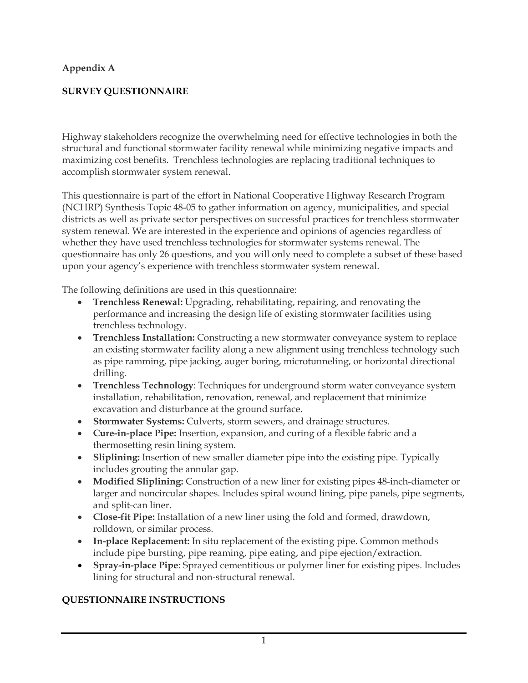# **Appendix A**

# **SURVEY QUESTIONNAIRE**

Highway stakeholders recognize the overwhelming need for effective technologies in both the structural and functional stormwater facility renewal while minimizing negative impacts and maximizing cost benefits. Trenchless technologies are replacing traditional techniques to accomplish stormwater system renewal.

This questionnaire is part of the effort in National Cooperative Highway Research Program (NCHRP) Synthesis Topic 48-05 to gather information on agency, municipalities, and special districts as well as private sector perspectives on successful practices for trenchless stormwater system renewal. We are interested in the experience and opinions of agencies regardless of whether they have used trenchless technologies for stormwater systems renewal. The questionnaire has only 26 questions, and you will only need to complete a subset of these based upon your agency's experience with trenchless stormwater system renewal.

The following definitions are used in this questionnaire:

- **Trenchless Renewal:** Upgrading, rehabilitating, repairing, and renovating the performance and increasing the design life of existing stormwater facilities using trenchless technology.
- **Trenchless Installation:** Constructing a new stormwater conveyance system to replace an existing stormwater facility along a new alignment using trenchless technology such as pipe ramming, pipe jacking, auger boring, microtunneling, or horizontal directional drilling.
- **Trenchless Technology**: Techniques for underground storm water conveyance system installation, rehabilitation, renovation, renewal, and replacement that minimize excavation and disturbance at the ground surface.
- **Stormwater Systems:** Culverts, storm sewers, and drainage structures.
- **Cure-in-place Pipe:** Insertion, expansion, and curing of a flexible fabric and a thermosetting resin lining system.
- **Sliplining:** Insertion of new smaller diameter pipe into the existing pipe. Typically includes grouting the annular gap.
- **Modified Sliplining:** Construction of a new liner for existing pipes 48-inch-diameter or larger and noncircular shapes. Includes spiral wound lining, pipe panels, pipe segments, and split-can liner.
- **Close-fit Pipe:** Installation of a new liner using the fold and formed, drawdown, rolldown, or similar process.
- **In-place Replacement:** In situ replacement of the existing pipe. Common methods include pipe bursting, pipe reaming, pipe eating, and pipe ejection/extraction.
- **Spray-in-place Pipe**: Sprayed cementitious or polymer liner for existing pipes. Includes lining for structural and non-structural renewal.

## **QUESTIONNAIRE INSTRUCTIONS**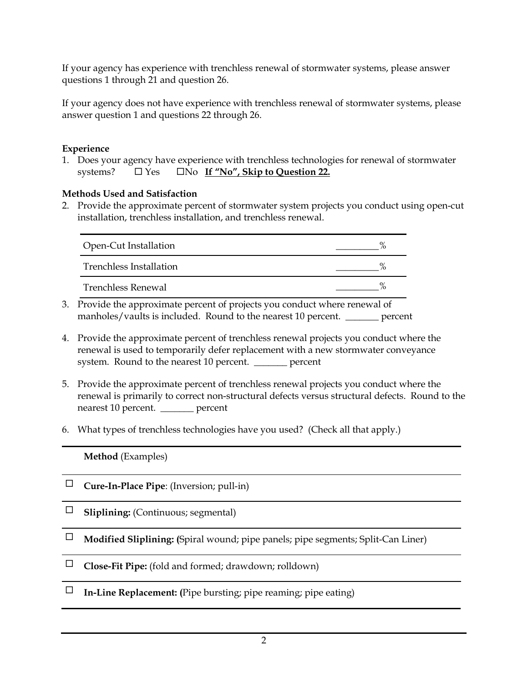If your agency has experience with trenchless renewal of stormwater systems, please answer questions 1 through 21 and question 26.

If your agency does not have experience with trenchless renewal of stormwater systems, please answer question 1 and questions 22 through 26.

#### **Experience**

1. Does your agency have experience with trenchless technologies for renewal of stormwater systems?  $\Box$  Yes  $\Box$  No If "No", Skip to Question 22.

#### **Methods Used and Satisfaction**

2. Provide the approximate percent of stormwater system projects you conduct using open-cut installation, trenchless installation, and trenchless renewal.

| Open-Cut Installation          |               |
|--------------------------------|---------------|
| <b>Trenchless Installation</b> |               |
| Trenchless Renewal             | $\frac{0}{6}$ |

- 3. Provide the approximate percent of projects you conduct where renewal of manholes/vaults is included. Round to the nearest 10 percent. \_\_\_\_\_\_\_ percent
- 4. Provide the approximate percent of trenchless renewal projects you conduct where the renewal is used to temporarily defer replacement with a new stormwater conveyance system. Round to the nearest 10 percent. \_\_\_\_\_\_\_ percent
- 5. Provide the approximate percent of trenchless renewal projects you conduct where the renewal is primarily to correct non-structural defects versus structural defects. Round to the nearest 10 percent. \_\_\_\_\_\_\_ percent
- 6. What types of trenchless technologies have you used? (Check all that apply.)

**Method** (Examples)

- **Cure-In-Place Pipe**: (Inversion; pull-in)
- **Sliplining:** (Continuous; segmental)
- **Modified Sliplining: (**Spiral wound; pipe panels; pipe segments; Split-Can Liner)
- **Close-Fit Pipe:** (fold and formed; drawdown; rolldown)
- $\Box$  **In-Line Replacement:** (Pipe bursting; pipe reaming; pipe eating)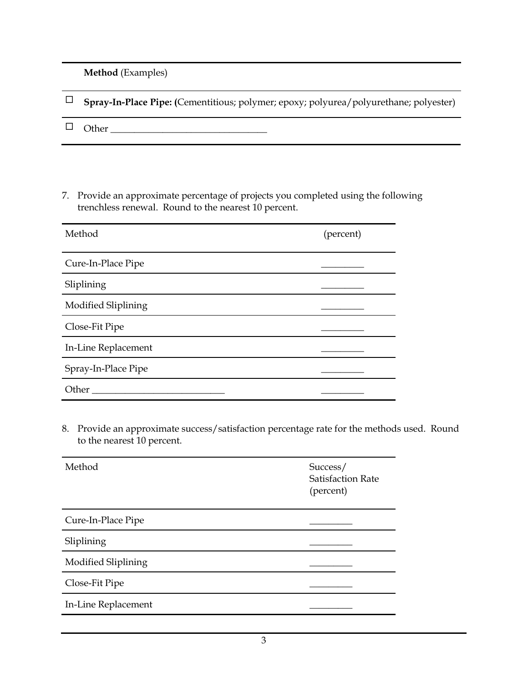**Method** (Examples)

| $\Box$ Spray-In-Place Pipe: (Cementitious; polymer; epoxy; polyurea/polyurethane; polyester) |
|----------------------------------------------------------------------------------------------|
| $\Box$ Other                                                                                 |

7. Provide an approximate percentage of projects you completed using the following trenchless renewal. Round to the nearest 10 percent.

| Method              | (percent) |
|---------------------|-----------|
| Cure-In-Place Pipe  |           |
| Sliplining          |           |
| Modified Sliplining |           |
| Close-Fit Pipe      |           |
| In-Line Replacement |           |
| Spray-In-Place Pipe |           |
| Other               |           |

8. Provide an approximate success/satisfaction percentage rate for the methods used. Round to the nearest 10 percent.

| Method              | Success/<br><b>Satisfaction Rate</b><br>(percent) |
|---------------------|---------------------------------------------------|
| Cure-In-Place Pipe  |                                                   |
| Sliplining          |                                                   |
| Modified Sliplining |                                                   |
| Close-Fit Pipe      |                                                   |
| In-Line Replacement |                                                   |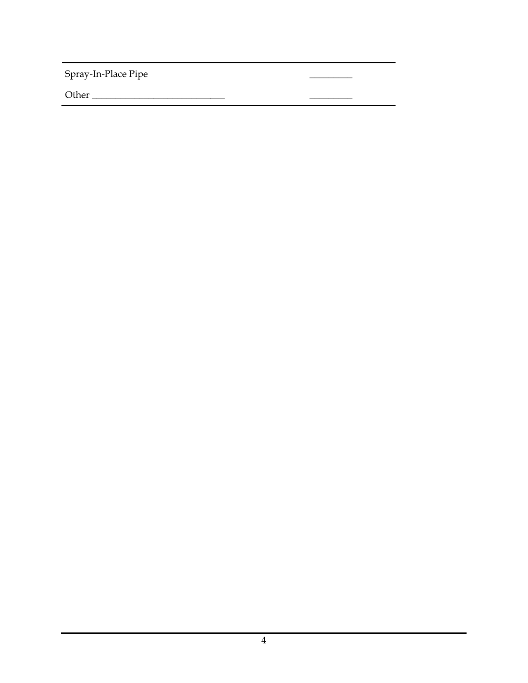Spray-In-Place Pipe

Other \_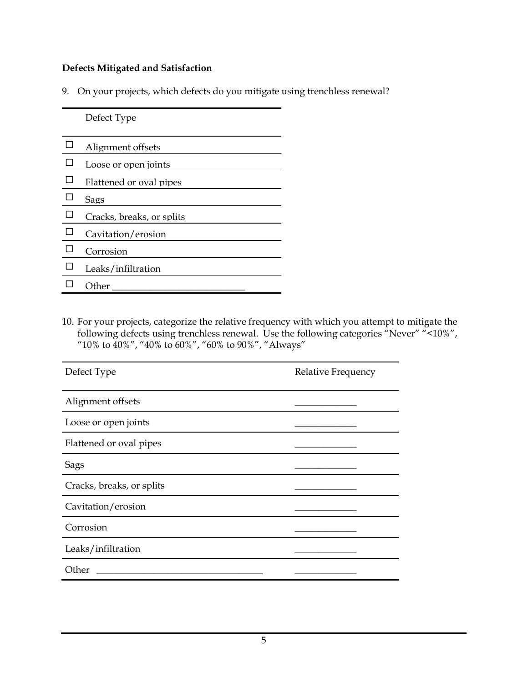### **Defects Mitigated and Satisfaction**

9. On your projects, which defects do you mitigate using trenchless renewal?

Defect Type  $\Box$  Alignment offsets  $\square$  Loose or open joints  $\Box$  Flattened or oval pipes  $\square$  Sags  $\Box$  Cracks, breaks, or splits  $\square$  Cavitation/erosion Corrosion  $\square$  Leaks/infiltration  $\Box$  Other

10. For your projects, categorize the relative frequency with which you attempt to mitigate the following defects using trenchless renewal. Use the following categories "Never" "<10%", "10% to 40%", "40% to 60%", "60% to 90%", "Always"

| Defect Type               | Relative Frequency |
|---------------------------|--------------------|
| Alignment offsets         |                    |
| Loose or open joints      |                    |
| Flattened or oval pipes   |                    |
| Sags                      |                    |
| Cracks, breaks, or splits |                    |
| Cavitation/erosion        |                    |
| Corrosion                 |                    |
| Leaks/infiltration        |                    |
| Other                     |                    |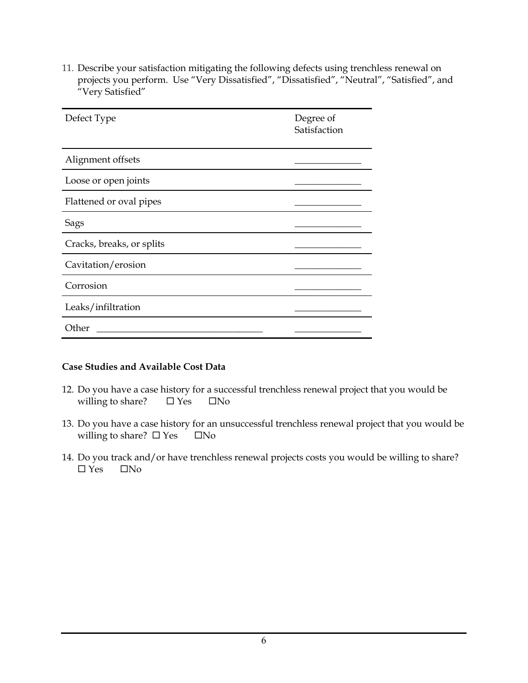11. Describe your satisfaction mitigating the following defects using trenchless renewal on projects you perform. Use "Very Dissatisfied", "Dissatisfied", "Neutral", "Satisfied", and "Very Satisfied"

| Defect Type               | Degree of<br>Satisfaction |
|---------------------------|---------------------------|
| Alignment offsets         |                           |
| Loose or open joints      |                           |
| Flattened or oval pipes   |                           |
| Sags                      |                           |
| Cracks, breaks, or splits |                           |
| Cavitation/erosion        |                           |
| Corrosion                 |                           |
| Leaks/infiltration        |                           |
| Other                     |                           |

#### **Case Studies and Available Cost Data**

- 12. Do you have a case history for a successful trenchless renewal project that you would be willing to share?  $\square$  Yes  $\square$  No
- 13. Do you have a case history for an unsuccessful trenchless renewal project that you would be willing to share?  $\square$  Yes  $\square$  No
- 14. Do you track and/or have trenchless renewal projects costs you would be willing to share?  $\Box$  Yes  $\Box$  No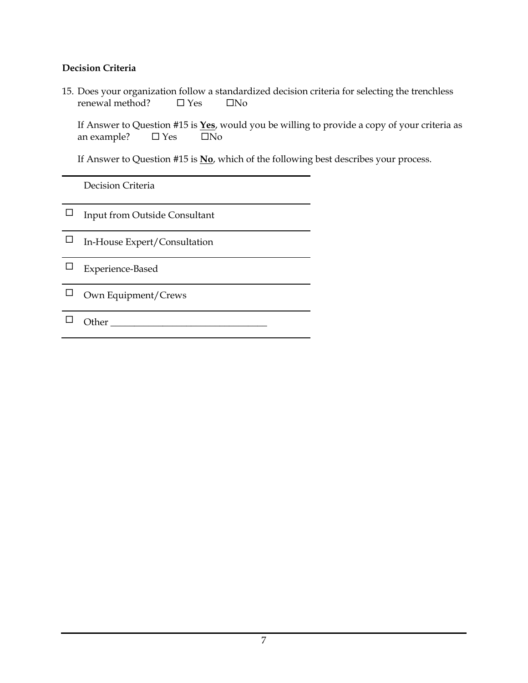#### **Decision Criteria**

15. Does your organization follow a standardized decision criteria for selecting the trenchless  $renewal method?$   $\Box$  Yes  $\Box$  No

If Answer to Question #15 is **Yes**, would you be willing to provide a copy of your criteria as an example?  $\Box$  Yes  $\Box$  No

If Answer to Question #15 is **No**, which of the following best describes your process.

Decision Criteria

 $\hfill\Box\quad$  Input from Outside Consultant

 $\Box$  In-House Expert/Consultation

□ Experience-Based

 $\square$  Own Equipment/Crews

Other \_\_\_\_\_\_\_\_\_\_\_\_\_\_\_\_\_\_\_\_\_\_\_\_\_\_\_\_\_\_\_\_\_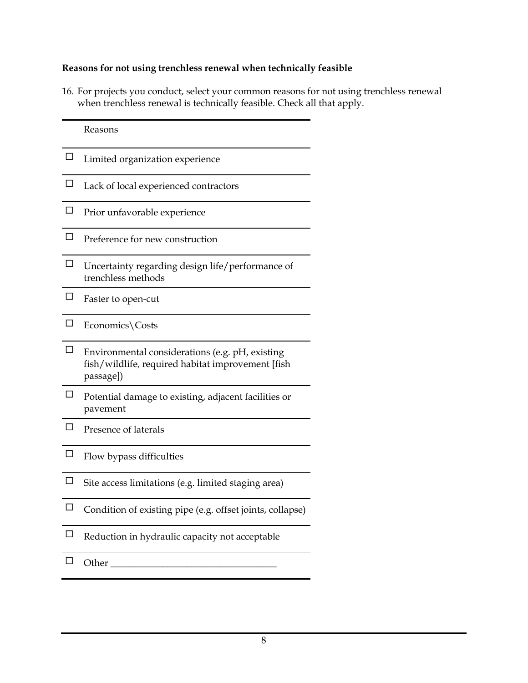### **Reasons for not using trenchless renewal when technically feasible**

16. For projects you conduct, select your common reasons for not using trenchless renewal when trenchless renewal is technically feasible. Check all that apply.

|        | Reasons                                                                                                           |
|--------|-------------------------------------------------------------------------------------------------------------------|
| □      | Limited organization experience                                                                                   |
| П      | Lack of local experienced contractors                                                                             |
| П      | Prior unfavorable experience                                                                                      |
| $\Box$ | Preference for new construction                                                                                   |
| П      | Uncertainty regarding design life/performance of<br>trenchless methods                                            |
| □      | Faster to open-cut                                                                                                |
| П      | Economics\Costs                                                                                                   |
| □      | Environmental considerations (e.g. pH, existing<br>fish/wildlife, required habitat improvement [fish<br>passage]) |
|        | Potential damage to existing, adjacent facilities or<br>pavement                                                  |
| П      | Presence of laterals                                                                                              |
|        | Flow bypass difficulties                                                                                          |
| □      | Site access limitations (e.g. limited staging area)                                                               |
|        | Condition of existing pipe (e.g. offset joints, collapse)                                                         |
| ப      | Reduction in hydraulic capacity not acceptable                                                                    |
| ⊡      | Other $\_\_$                                                                                                      |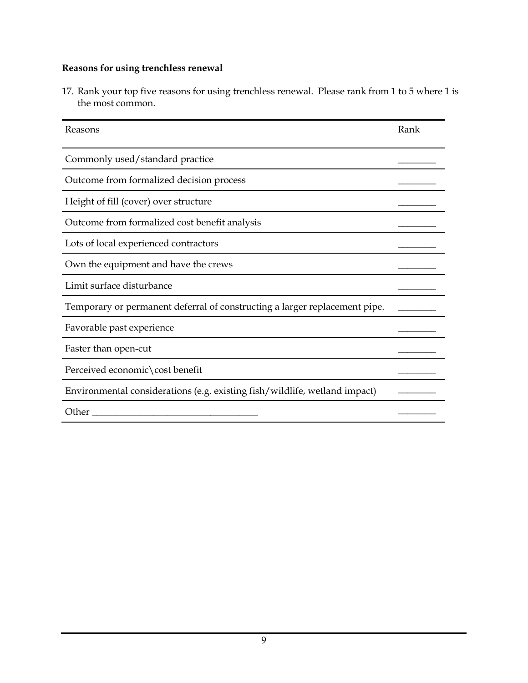# **Reasons for using trenchless renewal**

17. Rank your top five reasons for using trenchless renewal. Please rank from 1 to 5 where 1 is the most common.

| Reasons                                                                    | Rank |
|----------------------------------------------------------------------------|------|
| Commonly used/standard practice                                            |      |
| Outcome from formalized decision process                                   |      |
| Height of fill (cover) over structure                                      |      |
| Outcome from formalized cost benefit analysis                              |      |
| Lots of local experienced contractors                                      |      |
| Own the equipment and have the crews                                       |      |
| Limit surface disturbance                                                  |      |
| Temporary or permanent deferral of constructing a larger replacement pipe. |      |
| Favorable past experience                                                  |      |
| Faster than open-cut                                                       |      |
| Perceived economic\cost benefit                                            |      |
| Environmental considerations (e.g. existing fish/wildlife, wetland impact) |      |
| Other                                                                      |      |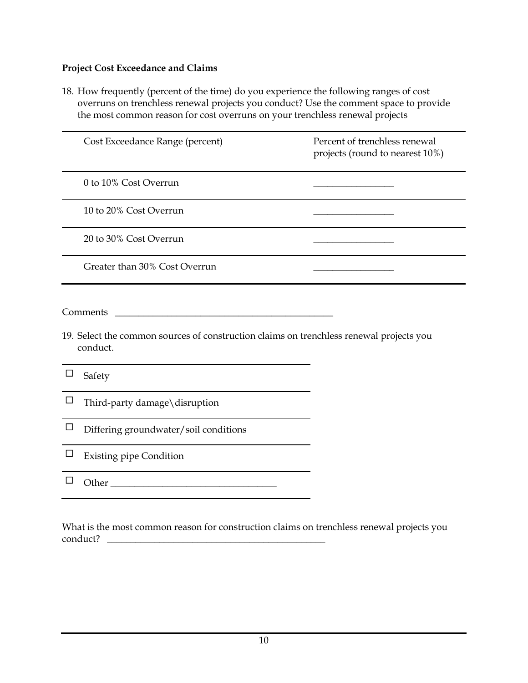### **Project Cost Exceedance and Claims**

18. How frequently (percent of the time) do you experience the following ranges of cost overruns on trenchless renewal projects you conduct? Use the comment space to provide the most common reason for cost overruns on your trenchless renewal projects

|        | Cost Exceedance Range (percent)                                                                                 | Percent of trenchless renewal<br>projects (round to nearest 10%) |
|--------|-----------------------------------------------------------------------------------------------------------------|------------------------------------------------------------------|
|        | 0 to 10% Cost Overrun                                                                                           |                                                                  |
|        | 10 to 20% Cost Overrun                                                                                          |                                                                  |
|        | 20 to 30% Cost Overrun                                                                                          |                                                                  |
|        | Greater than 30% Cost Overrun                                                                                   |                                                                  |
| ப      | Comments<br>19. Select the common sources of construction claims on trenchless renewal projects you<br>conduct. |                                                                  |
|        | Safety<br>Third-party damage\disruption                                                                         |                                                                  |
| $\Box$ | Differing groundwater/soil conditions                                                                           |                                                                  |
| ப      | <b>Existing pipe Condition</b>                                                                                  |                                                                  |
|        |                                                                                                                 |                                                                  |
|        |                                                                                                                 |                                                                  |

What is the most common reason for construction claims on trenchless renewal projects you conduct? \_\_\_\_\_\_\_\_\_\_\_\_\_\_\_\_\_\_\_\_\_\_\_\_\_\_\_\_\_\_\_\_\_\_\_\_\_\_\_\_\_\_\_\_\_\_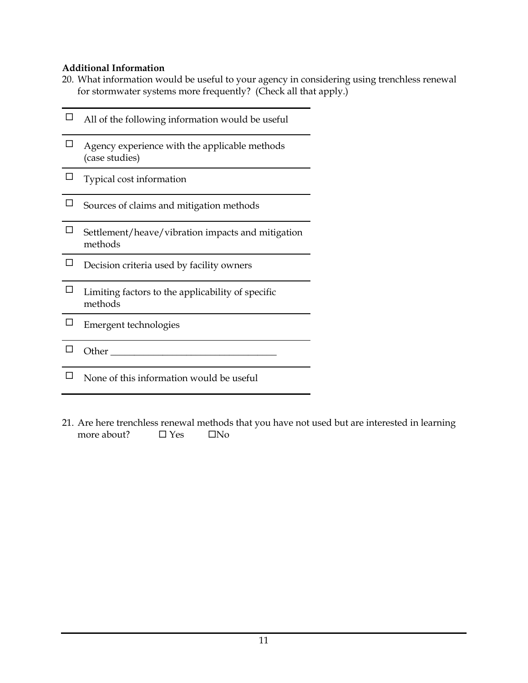## **Additional Information**

20. What information would be useful to your agency in considering using trenchless renewal for stormwater systems more frequently? (Check all that apply.)

|   | All of the following information would be useful                |
|---|-----------------------------------------------------------------|
| П | Agency experience with the applicable methods<br>(case studies) |
|   | Typical cost information                                        |
|   | Sources of claims and mitigation methods                        |
|   | Settlement/heave/vibration impacts and mitigation<br>methods    |
|   | Decision criteria used by facility owners                       |
|   | Limiting factors to the applicability of specific<br>methods    |
|   | Emergent technologies                                           |
|   | Other                                                           |
|   | None of this information would be useful                        |

21. Are here trenchless renewal methods that you have not used but are interested in learning more about?  $\square$  Yes  $\square$  No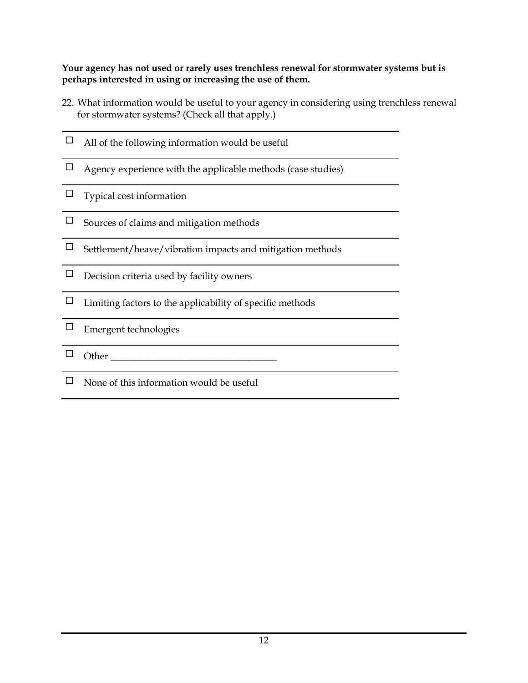**Your agency has not used or rarely uses trenchless renewal for stormwater systems but is perhaps interested in using or increasing the use of them.**

- 22. What information would be useful to your agency in considering using trenchless renewal for stormwater systems? (Check all that apply.)
- $\hfill \Box$  <br> <br> All of the following information would be useful
- $\Box$  Agency experience with the applicable methods (case studies)
- $\Box$  Typical cost information
- $\Box$  Sources of claims and mitigation methods
- $\square$  Settlement/heave/vibration impacts and mitigation methods
- $\Box$  Decision criteria used by facility owners
- $\square$  Limiting factors to the applicability of specific methods
- Emergent technologies
- Other \_\_\_\_\_\_\_\_\_\_\_\_\_\_\_\_\_\_\_\_\_\_\_\_\_\_\_\_\_\_\_\_\_\_\_
- $\Box$  None of this information would be useful